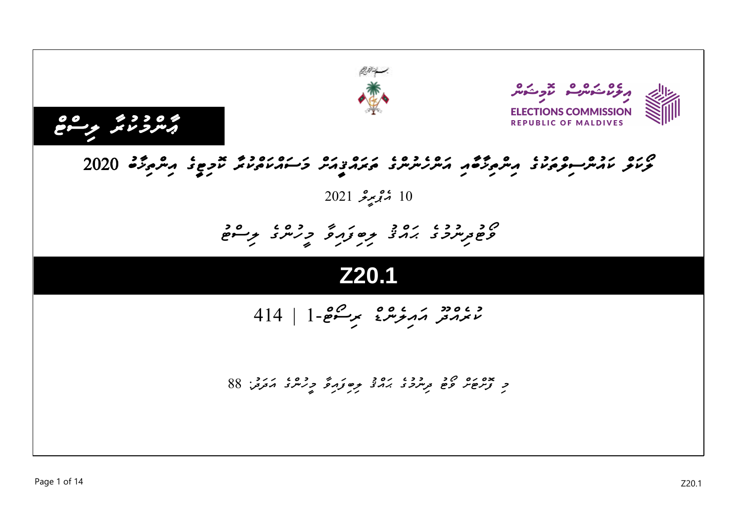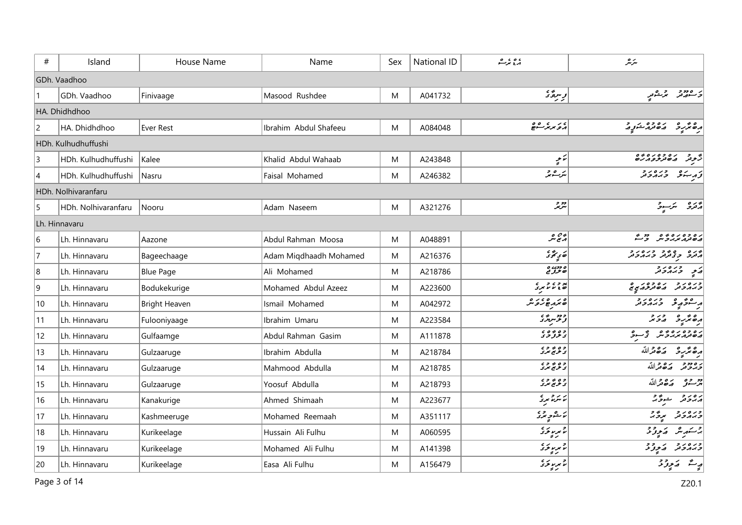| #            | Island              | House Name       | Name                   | Sex       | National ID | ، ه ، ره<br>مر، مر                              | ىئرىتر                                                      |
|--------------|---------------------|------------------|------------------------|-----------|-------------|-------------------------------------------------|-------------------------------------------------------------|
|              | GDh. Vaadhoo        |                  |                        |           |             |                                                 |                                                             |
|              | GDh. Vaadhoo        | Finivaage        | Masood Rushdee         | ${\sf M}$ | A041732     | او مروي<br>په موځ                               | ر ۶۶۶۵ و هېور<br>تر سوړنر کمر شونږ                          |
|              | HA. Dhidhdhoo       |                  |                        |           |             |                                                 |                                                             |
| 2            | HA. Dhidhdhoo       | Ever Rest        | Ibrahim Abdul Shafeeu  | M         | A084048     | ە ئە ئەرمۇر شوھ                                 | ره مرد مقدم شور                                             |
|              | HDh. Kulhudhuffushi |                  |                        |           |             |                                                 |                                                             |
| 3            | HDh. Kulhudhuffushi | Kalee            | Khalid Abdul Wahaab    | M         | A243848     | ئىمو                                            | ز د ده ده ده ده و<br>نروند مان در در                        |
| 4            | HDh. Kulhudhuffushi | Nasru            | Faisal Mohamed         | M         | A246382     | ىر ق ج                                          | كەسكى دىرەرد                                                |
|              | HDh. Nolhivaranfaru |                  |                        |           |             |                                                 |                                                             |
| 5            | HDh. Nolhivaranfaru | Nooru            | Adam Naseem            | M         | A321276     | مبرجر<br>سرچر                                   | وره سرّبار                                                  |
|              | Lh. Hinnavaru       |                  |                        |           |             |                                                 |                                                             |
| 6            | Lh. Hinnavaru       | Aazone           | Abdul Rahman Moosa     | M         | A048891     | پر ص<br>مربح مثر                                | נסכסנסים מיי<br>גםנג גגליג כי                               |
| 7            | Lh. Hinnavaru       | Bageechaage      | Adam Miqdhaadh Mohamed | M         | A216376     | <br> @يې گون                                    | ה בני כיציב כמחכת                                           |
| 8            | Lh. Hinnavaru       | <b>Blue Page</b> | Ali Mohamed            | M         | A218786     | ہ دورے ہ<br>ت مرکز تع                           | أمجمع وره رد                                                |
| 9            | Lh. Hinnavaru       | Bodukekurige     | Mohamed Abdul Azeez    | M         | A223600     | پر د ، د و ، ،<br>په د مام مرد                  | כנסגב גסבסגם<br><i>בג</i> וגבע ו <i>ג</i> סעי <i>בוג</i> אָ |
| $ 10\rangle$ | Lh. Hinnavaru       | Bright Heaven    | Ismail Mohamed         | M         | A042972     | ە ئەرەبچە ئەرەر<br>ھەنزىر ھ                     |                                                             |
| 11           | Lh. Hinnavaru       | Fulooniyaage     | Ibrahim Umaru          | M         | A223584     | 32°سرتری                                        | دە ئەر دىر                                                  |
| 12           | Lh. Hinnavaru       | Gulfaamge        | Abdul Rahman Gasim     | M         | A111878     | د ه و ه ه ،<br>د <del>و</del> تو <del>و</del> د |                                                             |
| $ 13\rangle$ | Lh. Hinnavaru       | Gulzaaruge       | Ibrahim Abdulla        | M         | A218784     | و ه پر و ء<br>د نوبځ بر د                       | أرە يۇر ئەھ قىراللە                                         |
| 14           | Lh. Hinnavaru       | Gulzaaruge       | Mahmood Abdulla        | M         | A218785     | و ه پر و ء<br>ۍ څريخ بوړ                        | دە دوم ئەھىراللە                                            |
| 15           | Lh. Hinnavaru       | Gulzaaruge       | Yoosuf Abdulla         | M         | A218793     | د و ه د د ،<br>د نویځ بود                       | وديع وكامرالله                                              |
| 16           | Lh. Hinnavaru       | Kanakurige       | Ahmed Shimaah          | M         | A223677     | ر رو<br>مأسر ما مرد                             | دەر د شوۋىر                                                 |
| 17           | Lh. Hinnavaru       | Kashmeeruge      | Mohamed Reemaah        | M         | A351117     | ر<br>ئەشقىر بىرى                                | כממכנה תביל                                                 |
| 18           | Lh. Hinnavaru       | Kurikeelage      | Hussain Ali Fulhu      | M         | A060595     | ر<br>ما مر بر مر د                              | 2سىمەش م <i>ەردى</i>                                        |
| 19           | Lh. Hinnavaru       | Kurikeelage      | Mohamed Ali Fulhu      | M         | A141398     | ر<br>ماير بر برگ                                | ورەرو رودو                                                  |
| 20           | Lh. Hinnavaru       | Kurikeelage      | Easa Ali Fulhu         | M         | A156479     | ر<br>ماسرىيە مۇي                                | پرسته - پر پر ژ ژ                                           |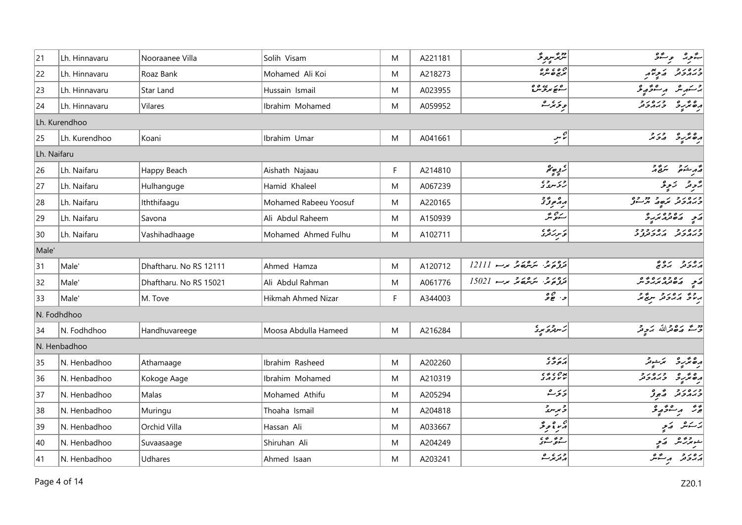| 21          | Lh. Hinnavaru | Nooraanee Villa        | Solih Visam           | ${\sf M}$ | A221181 | يزېژ <sub>مبرو</sub> ئ <sup>ې</sup>                            | يثور ويثو                            |
|-------------|---------------|------------------------|-----------------------|-----------|---------|----------------------------------------------------------------|--------------------------------------|
| 22          | Lh. Hinnavaru | Roaz Bank              | Mohamed Ali Koi       | M         | A218273 | ہ ہ ہ ہ ہ<br>مربع ن سربر                                       | כנסנב הבית                           |
| 23          | Lh. Hinnavaru | <b>Star Land</b>       | Hussain Ismail        | M         | A023955 | ە بەر ي <sub>ە</sub> ە ە<br>سەھ بىر <del>ى</del> ز س           | جسكريمر ومعتور                       |
| 24          | Lh. Hinnavaru | Vilares                | Ibrahim Mohamed       | M         | A059952 | ە ئرىزىشە                                                      |                                      |
|             | Lh. Kurendhoo |                        |                       |           |         |                                                                |                                      |
| 25          | Lh. Kurendhoo | Koani                  | Ibrahim Umar          | M         | A041661 | لأمير                                                          | رەپرىر دىر                           |
| Lh. Naifaru |               |                        |                       |           |         |                                                                |                                      |
| 26          | Lh. Naifaru   | Happy Beach            | Aishath Najaau        | F         | A214810 | ئە بوھەتچ                                                      |                                      |
| 27          | Lh. Naifaru   | Hulhanguge             | Hamid Khaleel         | M         | A067239 | ور سرور<br>رنگ سرند ک                                          | رًومْ زَوِوْ                         |
| 28          | Lh. Naifaru   | Iththifaaqu            | Mohamed Rabeeu Yoosuf | M         | A220165 | وەمۇقۇ                                                         | כנסנד גם דבר 2<br>בגוגבת הפוד וקיינץ |
| 29          | Lh. Naifaru   | Savona                 | Ali Abdul Raheem      | M         | A150939 | سقويتر                                                         | 2 1070 - 10 10                       |
| 30          | Lh. Naifaru   | Vashihadhaage          | Mohamed Ahmed Fulhu   | M         | A102711 | ئەسەر ئەرى<br>  قەسرىيەتىرى                                    | כנסנכ נסנככב<br>בגהכת הגבתנת         |
| Male'       |               |                        |                       |           |         |                                                                |                                      |
| 31          | Male'         | Dhaftharu. No RS 12111 | Ahmed Hamza           | M         | A120712 | رەر بۇ سەھەتمە برسىز 12111                                     | رەرو رەپ                             |
| 32          | Male'         | Dhaftharu. No RS 15021 | Ali Abdul Rahman      | M         | A061776 | تروم تر. سَرْسْھَ تَرْ سِرِ 15021                              | C COLOROS CO                         |
| 33          | Male'         | M. Tove                | Hikmah Ahmed Nizar    | F         | A344003 | ح · حو                                                         | برناڈ הגלב תוזיל                     |
|             | N. Fodhdhoo   |                        |                       |           |         |                                                                |                                      |
| 34          | N. Fodhdhoo   | Handhuvareege          | Moosa Abdulla Hameed  | M         | A216284 | ئەسە <i>تەكە ئى</i> رىگە                                       | ويحث وكامحدالله برديد                |
|             | N. Henbadhoo  |                        |                       |           |         |                                                                |                                      |
| 35          | N. Henbadhoo  | Athamaage              | Ibrahim Rasheed       | M         | A202260 | ر ر د »<br>پره <del>ر</del> د                                  |                                      |
| 36          | N. Henbadhoo  | Kokoge Aage            | Ibrahim Mohamed       | M         | A210319 | $\begin{bmatrix} 2 & 3 & 2 & 3 \\ 3 & 3 & 2 & 4 \end{bmatrix}$ |                                      |
| 37          | N. Henbadhoo  | Malas                  | Mohamed Athifu        | M         | A205294 | 5 تر مے                                                        |                                      |
| 38          | N. Henbadhoo  | Muringu                | Thoaha Ismail         | M         | A204818 | ا ئەمەر سەر<br>سىمبىر                                          | ۇ ئەس ئۇيۇ                           |
| 39          | N. Henbadhoo  | Orchid Villa           | Hassan Ali            | M         | A033667 | ەر بە ئوقر                                                     | برسته كالمح                          |
| 40          | N. Henbadhoo  | Suvaasaage             | Shiruhan Ali          | M         | A204249 | __ <i>___________</i><br>سىق ئىسىمى                            | خويزر كالمحمو                        |
| 41          | N. Henbadhoo  | Udhares                | Ahmed Isaan           | M         | A203241 | د ري ھ<br>مرمر سگ                                              | رەرو مەشھ                            |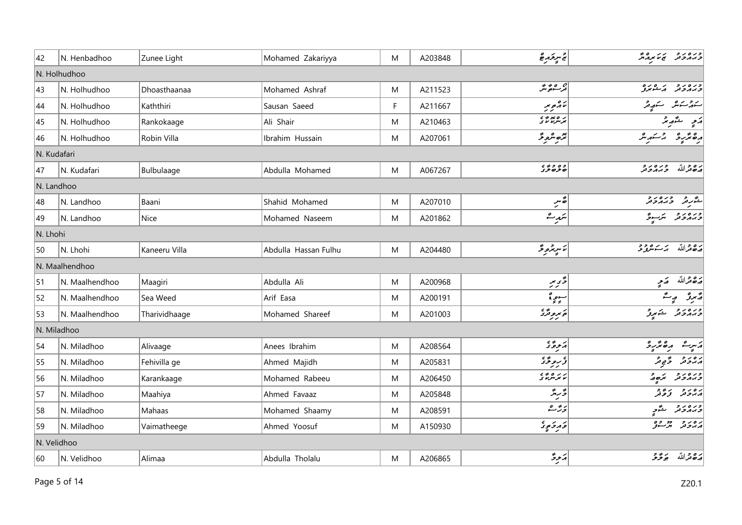| 42          | N. Henbadhoo   | Zunee Light   | Mohamed Zakariyya    | M         | A203848 | ىم س <sub>ې</sub> رىخەر ھ                   | כנסנכ נגם                                                |
|-------------|----------------|---------------|----------------------|-----------|---------|---------------------------------------------|----------------------------------------------------------|
|             | N. Holhudhoo   |               |                      |           |         |                                             |                                                          |
| 43          | N. Holhudhoo   | Dhoasthaanaa  | Mohamed Ashraf       | ${\sf M}$ | A211523 | ە مەھ پىر<br>تىرىسىۋىتىر                    | وره رو بر ۱۵۷۵<br>وبر بر د شوبرو                         |
| 44          | N. Holhudhoo   | Kaththiri     | Sausan Saeed         | F         | A211667 | ره<br>موهرموسر                              | سەر ئەسكەر ئىسكەر ئىر                                    |
| 45          | N. Holhudhoo   | Rankokaage    | Ali Shair            | M         | A210463 | ر ٥ پر <u>٥</u><br>برس را ر                 | أرمو مشمر جمر                                            |
| 46          | N. Holhudhoo   | Robin Villa   | Ibrahim Hussain      | M         | A207061 | ترەپروگر                                    | مەھترىرى برگىمىدىش                                       |
| N. Kudafari |                |               |                      |           |         |                                             |                                                          |
| 47          | N. Kudafari    | Bulbulaage    | Abdulla Mohamed      | M         | A067267 | و و و پر ،<br><b>ن ن</b> ون نو <sub>ک</sub> | برە تراللە<br>و ره ر و<br>تر <i>د د</i> تر               |
| N. Landhoo  |                |               |                      |           |         |                                             |                                                          |
| 48          | N. Landhoo     | Baani         | Shahid Mohamed       | M         | A207010 | پھ سر                                       | ش ده دره در د                                            |
| 49          | N. Landhoo     | Nice          | Mohamed Naseem       | M         | A201862 | سمەت                                        | ورەرو شەرە                                               |
| N. Lhohi    |                |               |                      |           |         |                                             |                                                          |
| 50          | N. Lhohi       | Kaneeru Villa | Abdulla Hassan Fulhu | M         | A204480 | ىز س <sub>ىر م</sub> ركزى ئى                | رە داللە برىرە دو                                        |
|             | N. Maalhendhoo |               |                      |           |         |                                             |                                                          |
| 51          | N. Maalhendhoo | Maagiri       | Abdulla Ali          | M         | A200968 | م <sup>ح</sup> <sub>مح</sub> مر             | رَ وَ تَرَ اللّهَ مَ يَ يَبِ<br>مَّ عَرَفَ مَ يَ يَتَمَّ |
| 52          | N. Maalhendhoo | Sea Weed      | Arif Easa            | M         | A200191 | $\frac{1}{2}$                               |                                                          |
| 53          | N. Maalhendhoo | Tharividhaage | Mohamed Shareef      | M         | A201003 | ر<br>موسر و تر د                            | ورەرو شەرو                                               |
| N. Miladhoo |                |               |                      |           |         |                                             |                                                          |
| 54          | N. Miladhoo    | Alivaage      | Anees Ibrahim        | M         | A208564 | پر پوځ د<br>پر پوځو د                       | ەرھ ئرىر ۋ<br> پرسویہ<br>                                |
| 55          | N. Miladhoo    | Fehivilla ge  | Ahmed Majidh         | M         | A205831 | ې ر <sub>حو</sub> تو <sup>ي</sup>           | رەر <i>ج</i><br>مەركىر گەنى                              |
| 56          | N. Miladhoo    | Karankaage    | Mohamed Rabeeu       | M         | A206450 | ر ر ه و ،<br>ما <del>ب</del> ر س            | כנסנכ תפת                                                |
| 57          | N. Miladhoo    | Maahiya       | Ahmed Favaaz         | M         | A205848 | ۇ بەرگە<br>بە                               | رەر دىر<br>مەرىر ئىگىر                                   |
| 58          | N. Miladhoo    | Mahaas        | Mohamed Shaamy       | M         | A208591 | ىر بۇر <u>م</u>                             | ورەر دېم مىگو                                            |
| 59          | N. Miladhoo    | Vaimatheege   | Ahmed Yoosuf         | M         | A150930 | ر<br>وګړو م <sub>و</sub> د                  | גם ג' כי כי<br>הגב בג' ת' ביצ                            |
| N. Velidhoo |                |               |                      |           |         |                                             |                                                          |
| 60          | N. Velidhoo    | Alimaa        | Abdulla Tholalu      | M         | A206865 | بزوڈ                                        | رەتراللە برۇتر                                           |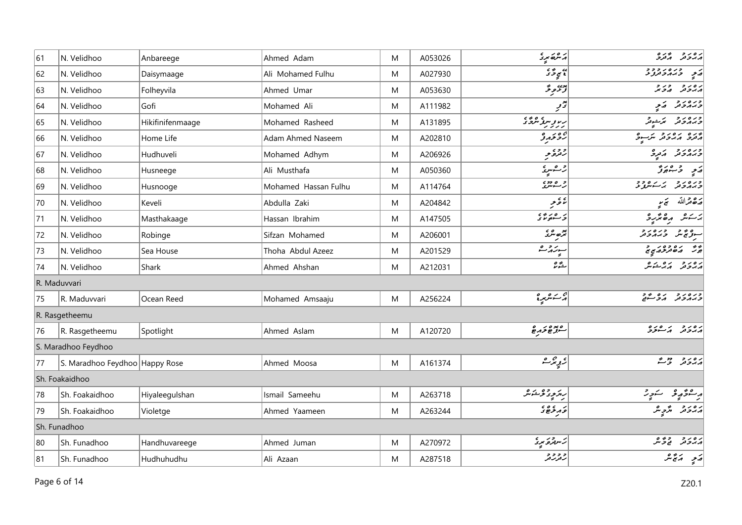| 61 | N. Velidhoo                    | Anbareege        | Ahmed Adam           | M         | A053026 | پر چې <sub>سر ځ</sub>                    | ره رو په ده<br>مدونر مدرو                        |
|----|--------------------------------|------------------|----------------------|-----------|---------|------------------------------------------|--------------------------------------------------|
| 62 | N. Velidhoo                    | Daisymaage       | Ali Mohamed Fulhu    | M         | A027930 | $\frac{c}{c}$ , $\frac{c}{c}$            | أور وره دودو                                     |
| 63 | N. Velidhoo                    | Folheyvila       | Ahmed Umar           | M         | A053630 | دە»<br>ۋىز <sub>ى</sub> رۇ               | ره رو ورو                                        |
| 64 | N. Velidhoo                    | Gofi             | Mohamed Ali          | M         | A111982 | تخمخ                                     | ورەرو كې                                         |
| 65 | N. Velidhoo                    | Hikifinifenmaage | Mohamed Rasheed      | M         | A131895 | ار رو مور عده و د م<br>مرد مرد مرد برد د | وره رو در در د<br>وبر دو تر ترشونر               |
| 66 | N. Velidhoo                    | Home Life        | Adam Ahmed Naseem    | M         | A202810 | ە دېخ مەترى<br>شرىخ قىرىق                | أحده ره دو د در م                                |
| 67 | N. Velidhoo                    | Hudhuveli        | Mohamed Adhym        | M         | A206926 | و و ،<br>رتىرە م                         | ورەر د كړو                                       |
| 68 | N. Velidhoo                    | Husneege         | Ali Musthafa         | M         | A050360 | <sup>و</sup> ڪ <sub>سيءَ</sub>           | ړ ده ده                                          |
| 69 | N. Velidhoo                    | Husnooge         | Mohamed Hassan Fulhu | M         | A114764 | و عبد دو ۽<br>سائنس                      | ورەرو بەسەرود                                    |
| 70 | N. Velidhoo                    | Keveli           | Abdulla Zaki         | M         | A204842 | عكومج                                    | برە دالله تم پر                                  |
| 71 | N. Velidhoo                    | Masthakaage      | Hassan Ibrahim       | M         | A147505 | ر ه د و ،                                |                                                  |
| 72 | N. Velidhoo                    | Robinge          | Sifzan Mohamed       | M         | A206001 | برەمرى                                   | - 2007 - 2007<br>- 2007 - 2007 - 2007            |
| 73 | N. Velidhoo                    | Sea House        | Thoha Abdul Azeez    | M         | A201529 | سوئە چىقى                                | 2 10201 24                                       |
| 74 | N. Velidhoo                    | Shark            | Ahmed Ahshan         | M         | A212031 | يده                                      | رەرو رەئىگە                                      |
|    | R. Maduvvari                   |                  |                      |           |         |                                          |                                                  |
| 75 | R. Maduvvari                   | Ocean Reed       | Mohamed Amsaaju      | M         | A256224 | ە ئەنەھ <sub>ى</sub> رى                  | ورەرو رەپ دو                                     |
|    | R. Rasgetheemu                 |                  |                      |           |         |                                          |                                                  |
| 76 | R. Rasgetheemu                 | Spotlight        | Ahmed Aslam          | ${\sf M}$ | A120720 | ە بىرە ب <sub>ە</sub> ھ                  | رەرد رەرە                                        |
|    | S. Maradhoo Feydhoo            |                  |                      |           |         |                                          |                                                  |
| 77 | S. Maradhoo Feydhoo Happy Rose |                  | Ahmed Moosa          | M         | A161374 | ئەرپرىشە                                 | رەرد «م                                          |
|    | Sh. Foakaidhoo                 |                  |                      |           |         |                                          |                                                  |
| 78 | Sh. Foakaidhoo                 | Hiyaleequlshan   | Ismail Sameehu       | M         | A263718 | ر <sub>ى</sub> زى <sub>ۋ</sub> ر ۋىشەش   | ر مەۋرى ئىي ئىي<br>كەن ئۇيدا كەن<br>مەدرە ئەرەپى |
| 79 | Sh. Foakaidhoo                 | Violetge         | Ahmed Yaameen        | M         | A263244 | ورځونه                                   |                                                  |
|    | Sh. Funadhoo                   |                  |                      |           |         |                                          |                                                  |
| 80 | Sh. Funadhoo                   | Handhuvareege    | Ahmed Juman          | M         | A270972 | <br> رسمبرتوسری                          | دەر د دەر                                        |
| 81 | Sh. Funadhoo                   | Hudhuhudhu       | Ali Azaan            | M         | A287518 | و و و و<br>رقرر تر                       | أوسم أوسم من                                     |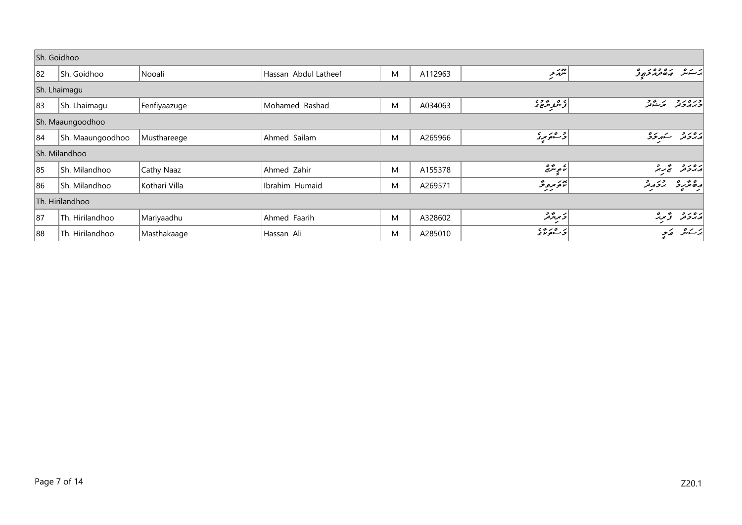|    | Sh. Goidhoo      |               |                      |   |         |                               |                                               |
|----|------------------|---------------|----------------------|---|---------|-------------------------------|-----------------------------------------------|
| 82 | Sh. Goidhoo      | Nooali        | Hassan Abdul Latheef | M | A112963 | يتدمر                         | پر سه مده وه در ه                             |
|    | Sh. Lhaimagu     |               |                      |   |         |                               |                                               |
| 83 | Sh. Lhaimagu     | Fenfiyaazuge  | Mohamed Rashad       | M | A034063 | ې ه <sub>ې ت</sub> ر پر د     | وره د و پر د و<br>  وبرابروتر بم پر شوتر      |
|    | Sh. Maaungoodhoo |               |                      |   |         |                               |                                               |
| 84 | Sh. Maaungoodhoo | Musthareege   | Ahmed Sailam         | M | A265966 | ر صحيح مر <sub>يح</sub>       | أرور و ستهرئزو                                |
|    | Sh. Milandhoo    |               |                      |   |         |                               |                                               |
| 85 | Sh. Milandhoo    | Cathy Naaz    | Ahmed Zahir          | M | A155378 | ءَ موسَّر چ                   | دەرو ئې بار                                   |
| 86 | Sh. Milandhoo    | Kothari Villa | Ibrahim Humaid       | M | A269571 | تقۇمرەغە                      | ەھ تررۋ<br>برىخ پر بىر<br>$\epsilon$          |
|    | Th. Hirilandhoo  |               |                      |   |         |                               |                                               |
| 87 | Th. Hirilandhoo  | Mariyaadhu    | Ahmed Faarih         | M | A328602 | ى ئىر پەرتىر                  | بر 2 ر 1<br>مربر <del>5</del> تر<br>تۇ بىر بە |
| 88 | Th. Hirilandhoo  | Masthakaage   | Hassan Ali           | M | A285010 | ر ۱۵۷۵.<br><del>د</del> سومان | برسەمىر<br>رزمر                               |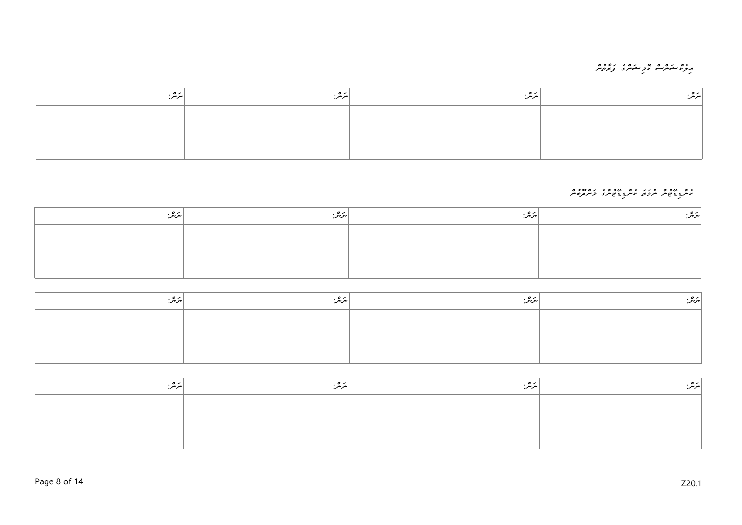## *w7qAn8m? sCw7mRo>u; wEw7mRw;sBo<*

| ' مرمر | 'يئرىثر: |
|--------|----------|
|        |          |
|        |          |
|        |          |

## *w7q9r@w7m> sCw7qHtFoFw7s; mAm=q7 w7qHtFoFw7s;*

| يە يە | $\frac{2}{n}$ | ىر تىر. | لترتثر |
|-------|---------------|---------|--------|
|       |               |         |        |
|       |               |         |        |
|       |               |         |        |

| $\frac{2}{n}$ | $\overline{\phantom{a}}$ | اير هنه. | $\mathcal{O} \times$<br>سرسر |
|---------------|--------------------------|----------|------------------------------|
|               |                          |          |                              |
|               |                          |          |                              |
|               |                          |          |                              |

| ىرتىر: | 。<br>سر سر | .,<br>مرسر |
|--------|------------|------------|
|        |            |            |
|        |            |            |
|        |            |            |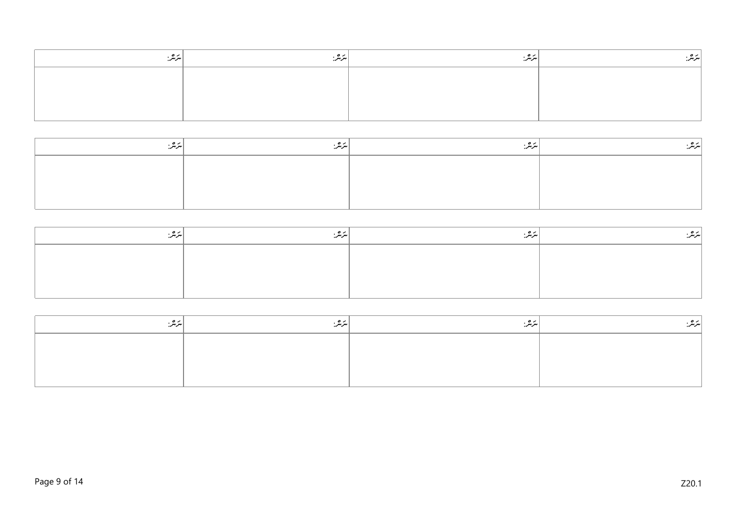| يره. | ο. | ا ير ه |  |
|------|----|--------|--|
|      |    |        |  |
|      |    |        |  |
|      |    |        |  |

| <sup>.</sup> سرسر. |  |
|--------------------|--|
|                    |  |
|                    |  |
|                    |  |

| ىئرىتر. | $\sim$ | ا بر هه. | لىرىش |
|---------|--------|----------|-------|
|         |        |          |       |
|         |        |          |       |
|         |        |          |       |

| 。<br>مرس. | $\overline{\phantom{a}}$<br>مر سر | ىرىر |
|-----------|-----------------------------------|------|
|           |                                   |      |
|           |                                   |      |
|           |                                   |      |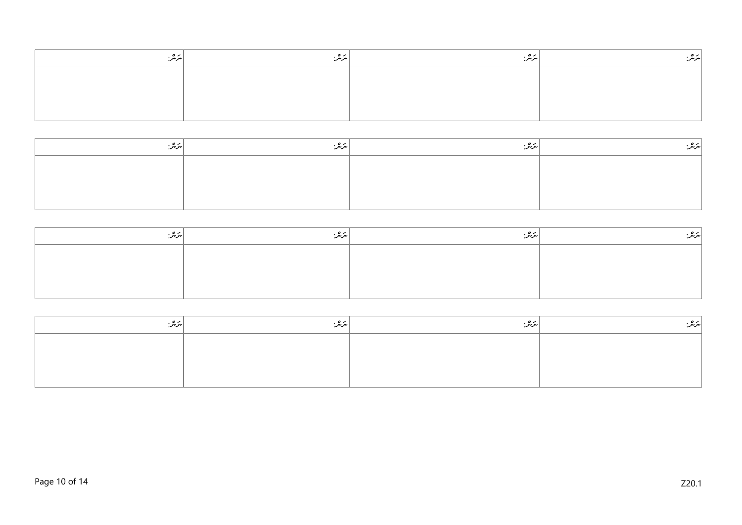| ير هو . | $\overline{\phantom{a}}$ | يرمر | اير هنه. |
|---------|--------------------------|------|----------|
|         |                          |      |          |
|         |                          |      |          |
|         |                          |      |          |

| ئىرتىر: | $\sim$<br>ا سرسر . | يئرمثر | o . |
|---------|--------------------|--------|-----|
|         |                    |        |     |
|         |                    |        |     |
|         |                    |        |     |

| نتزيتر به | 。 | 。<br>سرسر. | o <i>~</i> |
|-----------|---|------------|------------|
|           |   |            |            |
|           |   |            |            |
|           |   |            |            |

|  | . ه |
|--|-----|
|  |     |
|  |     |
|  |     |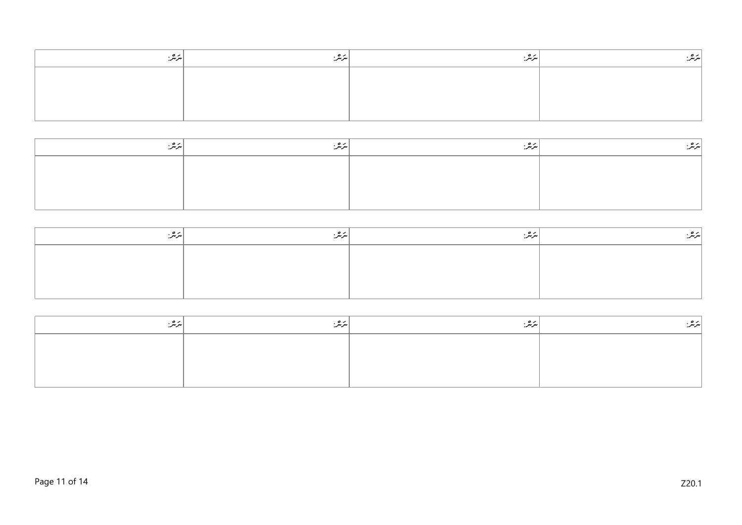| ير هو . | $\overline{\phantom{a}}$ | يرمر | اير هنه. |
|---------|--------------------------|------|----------|
|         |                          |      |          |
|         |                          |      |          |
|         |                          |      |          |

| ئىرتىر: | $\sim$<br>ا سرسر . | يئرمثر | o . |
|---------|--------------------|--------|-----|
|         |                    |        |     |
|         |                    |        |     |
|         |                    |        |     |

| نتزيتر به | 。 | 。<br>سمرسمد. | o <i>~</i> |
|-----------|---|--------------|------------|
|           |   |              |            |
|           |   |              |            |
|           |   |              |            |

|  | . ه |
|--|-----|
|  |     |
|  |     |
|  |     |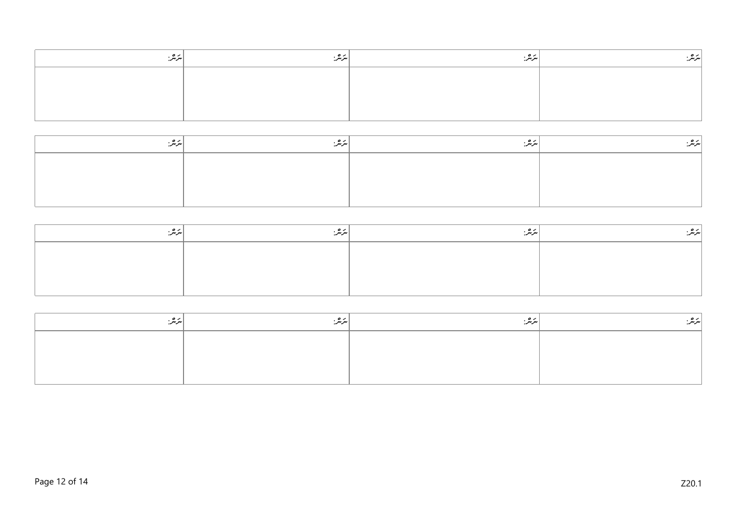| $\cdot$ | 。 | $\frac{\circ}{\cdot}$ | $\sim$<br>سرسر |
|---------|---|-----------------------|----------------|
|         |   |                       |                |
|         |   |                       |                |
|         |   |                       |                |

| يريثن | ' سرسر . |  |
|-------|----------|--|
|       |          |  |
|       |          |  |
|       |          |  |

| بر ه | . ه | $\sim$<br>سرسر |  |
|------|-----|----------------|--|
|      |     |                |  |
|      |     |                |  |
|      |     |                |  |

| 。<br>. س | ىرىىر |  |
|----------|-------|--|
|          |       |  |
|          |       |  |
|          |       |  |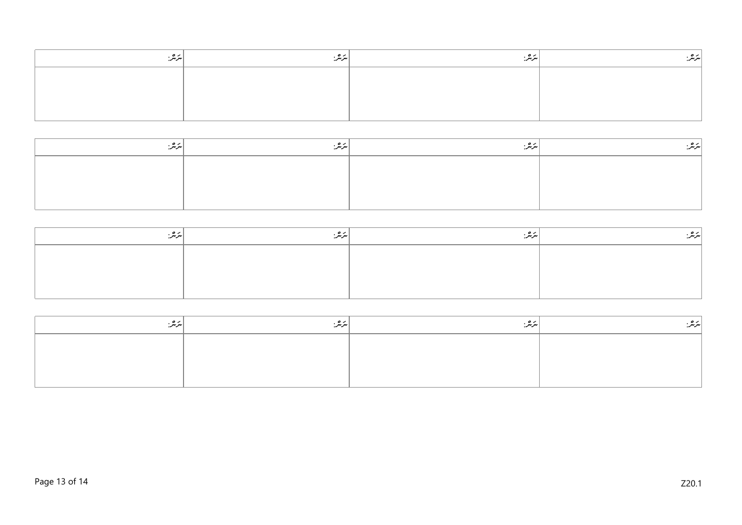| ير هو . | $\overline{\phantom{a}}$ | يرمر | اير هنه. |
|---------|--------------------------|------|----------|
|         |                          |      |          |
|         |                          |      |          |
|         |                          |      |          |

| ئىرتىر: | $\sim$<br>ا سرسر . | يئرمثر | o . |
|---------|--------------------|--------|-----|
|         |                    |        |     |
|         |                    |        |     |
|         |                    |        |     |

| نتزيتر به | 。 | 。<br>سرسر. | o <i>~</i> |
|-----------|---|------------|------------|
|           |   |            |            |
|           |   |            |            |
|           |   |            |            |

|  | . ه |
|--|-----|
|  |     |
|  |     |
|  |     |